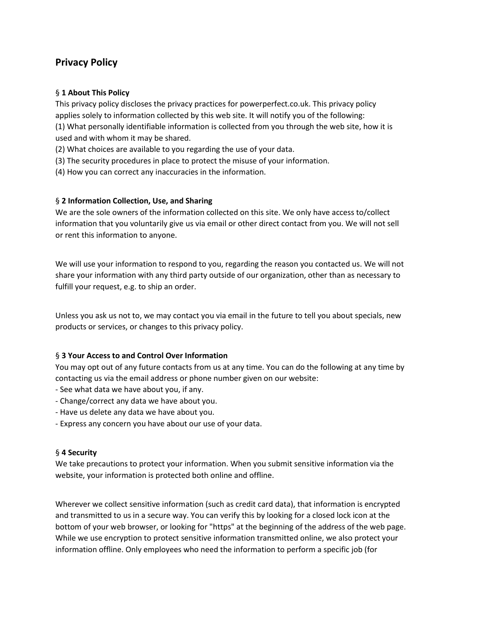# **Privacy Policy**

#### § **1 About This Policy**

This privacy policy discloses the privacy practices for powerperfect.co.uk. This privacy policy applies solely to information collected by this web site. It will notify you of the following: (1) What personally identifiable information is collected from you through the web site, how it is used and with whom it may be shared.

- (2) What choices are available to you regarding the use of your data.
- (3) The security procedures in place to protect the misuse of your information.
- (4) How you can correct any inaccuracies in the information.

### § **2 Information Collection, Use, and Sharing**

We are the sole owners of the information collected on this site. We only have access to/collect information that you voluntarily give us via email or other direct contact from you. We will not sell or rent this information to anyone.

We will use your information to respond to you, regarding the reason you contacted us. We will not share your information with any third party outside of our organization, other than as necessary to fulfill your request, e.g. to ship an order.

Unless you ask us not to, we may contact you via email in the future to tell you about specials, new products or services, or changes to this privacy policy.

#### § **3 Your Access to and Control Over Information**

You may opt out of any future contacts from us at any time. You can do the following at any time by contacting us via the email address or phone number given on our website:

- See what data we have about you, if any.
- Change/correct any data we have about you.
- Have us delete any data we have about you.
- Express any concern you have about our use of your data.

#### § **4 Security**

We take precautions to protect your information. When you submit sensitive information via the website, your information is protected both online and offline.

Wherever we collect sensitive information (such as credit card data), that information is encrypted and transmitted to us in a secure way. You can verify this by looking for a closed lock icon at the bottom of your web browser, or looking for "https" at the beginning of the address of the web page. While we use encryption to protect sensitive information transmitted online, we also protect your information offline. Only employees who need the information to perform a specific job (for